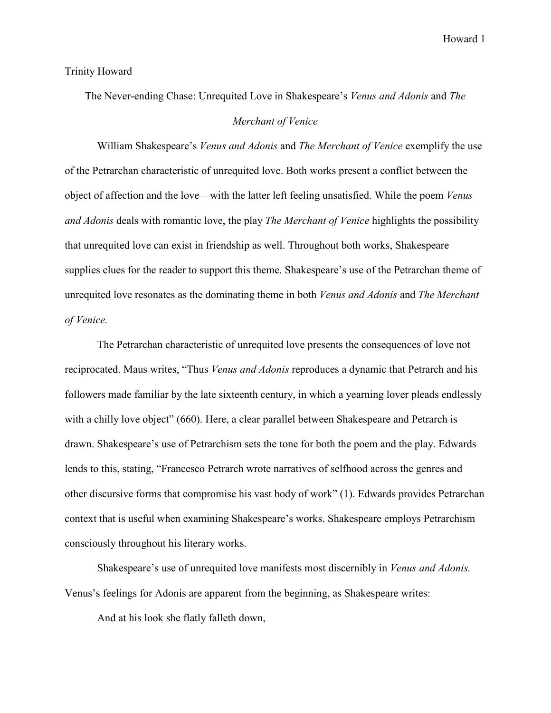Trinity Howard

The Never-ending Chase: Unrequited Love in Shakespeare's *Venus and Adonis* and *The Merchant of Venice*

William Shakespeare's *Venus and Adonis* and *The Merchant of Venice* exemplify the use of the Petrarchan characteristic of unrequited love. Both works present a conflict between the object of affection and the love—with the latter left feeling unsatisfied. While the poem *Venus and Adonis* deals with romantic love, the play *The Merchant of Venice* highlights the possibility that unrequited love can exist in friendship as well. Throughout both works, Shakespeare supplies clues for the reader to support this theme. Shakespeare's use of the Petrarchan theme of unrequited love resonates as the dominating theme in both *Venus and Adonis* and *The Merchant of Venice.* 

The Petrarchan characteristic of unrequited love presents the consequences of love not reciprocated. Maus writes, "Thus *Venus and Adonis* reproduces a dynamic that Petrarch and his followers made familiar by the late sixteenth century, in which a yearning lover pleads endlessly with a chilly love object" (660). Here, a clear parallel between Shakespeare and Petrarch is drawn. Shakespeare's use of Petrarchism sets the tone for both the poem and the play. Edwards lends to this, stating, "Francesco Petrarch wrote narratives of selfhood across the genres and other discursive forms that compromise his vast body of work" (1). Edwards provides Petrarchan context that is useful when examining Shakespeare's works. Shakespeare employs Petrarchism consciously throughout his literary works.

Shakespeare's use of unrequited love manifests most discernibly in *Venus and Adonis.*  Venus's feelings for Adonis are apparent from the beginning, as Shakespeare writes:

And at his look she flatly falleth down,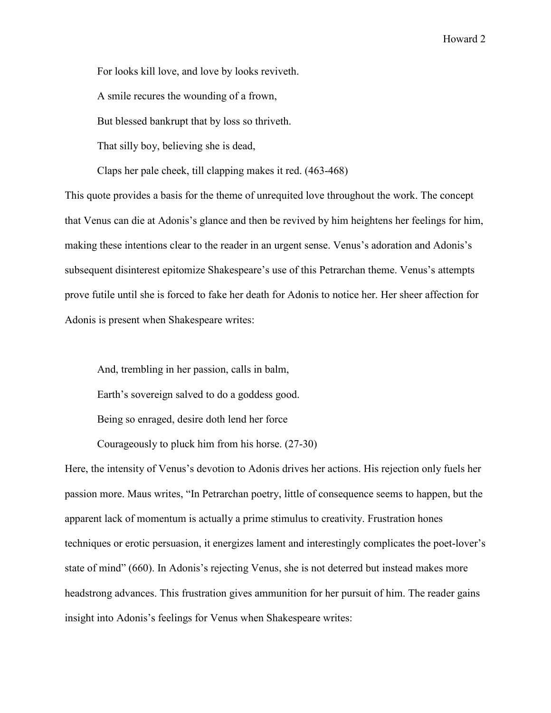For looks kill love, and love by looks reviveth.

A smile recures the wounding of a frown,

But blessed bankrupt that by loss so thriveth.

That silly boy, believing she is dead,

Claps her pale cheek, till clapping makes it red. (463-468)

This quote provides a basis for the theme of unrequited love throughout the work. The concept that Venus can die at Adonis's glance and then be revived by him heightens her feelings for him, making these intentions clear to the reader in an urgent sense. Venus's adoration and Adonis's subsequent disinterest epitomize Shakespeare's use of this Petrarchan theme. Venus's attempts prove futile until she is forced to fake her death for Adonis to notice her. Her sheer affection for Adonis is present when Shakespeare writes:

And, trembling in her passion, calls in balm,

Earth's sovereign salved to do a goddess good.

Being so enraged, desire doth lend her force

Courageously to pluck him from his horse. (27-30)

Here, the intensity of Venus's devotion to Adonis drives her actions. His rejection only fuels her passion more. Maus writes, "In Petrarchan poetry, little of consequence seems to happen, but the apparent lack of momentum is actually a prime stimulus to creativity. Frustration hones techniques or erotic persuasion, it energizes lament and interestingly complicates the poet-lover's state of mind" (660). In Adonis's rejecting Venus, she is not deterred but instead makes more headstrong advances. This frustration gives ammunition for her pursuit of him. The reader gains insight into Adonis's feelings for Venus when Shakespeare writes: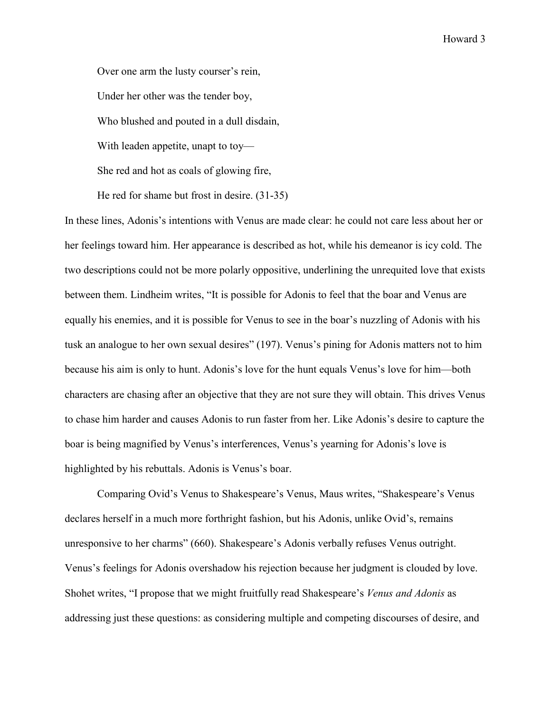Over one arm the lusty courser's rein, Under her other was the tender boy, Who blushed and pouted in a dull disdain, With leaden appetite, unapt to toy— She red and hot as coals of glowing fire, He red for shame but frost in desire. (31-35)

In these lines, Adonis's intentions with Venus are made clear: he could not care less about her or her feelings toward him. Her appearance is described as hot, while his demeanor is icy cold. The two descriptions could not be more polarly oppositive, underlining the unrequited love that exists between them. Lindheim writes, "It is possible for Adonis to feel that the boar and Venus are equally his enemies, and it is possible for Venus to see in the boar's nuzzling of Adonis with his tusk an analogue to her own sexual desires" (197). Venus's pining for Adonis matters not to him because his aim is only to hunt. Adonis's love for the hunt equals Venus's love for him—both characters are chasing after an objective that they are not sure they will obtain. This drives Venus to chase him harder and causes Adonis to run faster from her. Like Adonis's desire to capture the boar is being magnified by Venus's interferences, Venus's yearning for Adonis's love is highlighted by his rebuttals. Adonis is Venus's boar.

Comparing Ovid's Venus to Shakespeare's Venus, Maus writes, "Shakespeare's Venus declares herself in a much more forthright fashion, but his Adonis, unlike Ovid's, remains unresponsive to her charms" (660). Shakespeare's Adonis verbally refuses Venus outright. Venus's feelings for Adonis overshadow his rejection because her judgment is clouded by love. Shohet writes, "I propose that we might fruitfully read Shakespeare's *Venus and Adonis* as addressing just these questions: as considering multiple and competing discourses of desire, and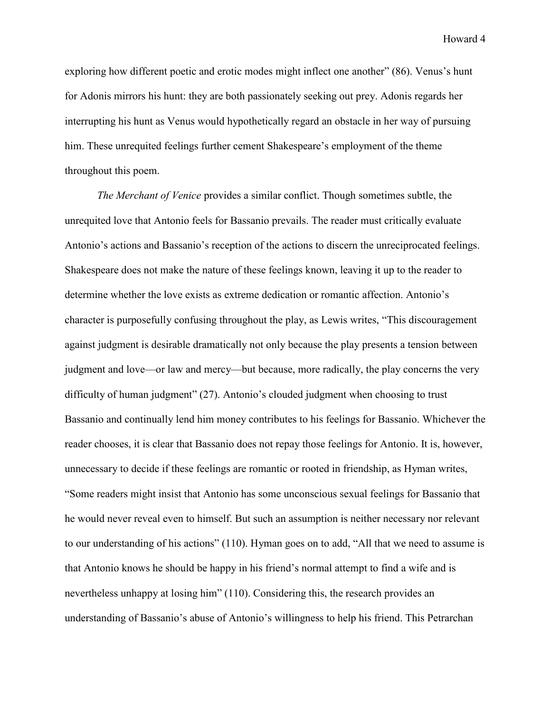exploring how different poetic and erotic modes might inflect one another" (86). Venus's hunt for Adonis mirrors his hunt: they are both passionately seeking out prey. Adonis regards her interrupting his hunt as Venus would hypothetically regard an obstacle in her way of pursuing him. These unrequited feelings further cement Shakespeare's employment of the theme throughout this poem.

*The Merchant of Venice* provides a similar conflict. Though sometimes subtle, the unrequited love that Antonio feels for Bassanio prevails. The reader must critically evaluate Antonio's actions and Bassanio's reception of the actions to discern the unreciprocated feelings. Shakespeare does not make the nature of these feelings known, leaving it up to the reader to determine whether the love exists as extreme dedication or romantic affection. Antonio's character is purposefully confusing throughout the play, as Lewis writes, "This discouragement against judgment is desirable dramatically not only because the play presents a tension between judgment and love—or law and mercy—but because, more radically, the play concerns the very difficulty of human judgment" (27). Antonio's clouded judgment when choosing to trust Bassanio and continually lend him money contributes to his feelings for Bassanio. Whichever the reader chooses, it is clear that Bassanio does not repay those feelings for Antonio. It is, however, unnecessary to decide if these feelings are romantic or rooted in friendship, as Hyman writes, "Some readers might insist that Antonio has some unconscious sexual feelings for Bassanio that he would never reveal even to himself. But such an assumption is neither necessary nor relevant to our understanding of his actions" (110). Hyman goes on to add, "All that we need to assume is that Antonio knows he should be happy in his friend's normal attempt to find a wife and is nevertheless unhappy at losing him" (110). Considering this, the research provides an understanding of Bassanio's abuse of Antonio's willingness to help his friend. This Petrarchan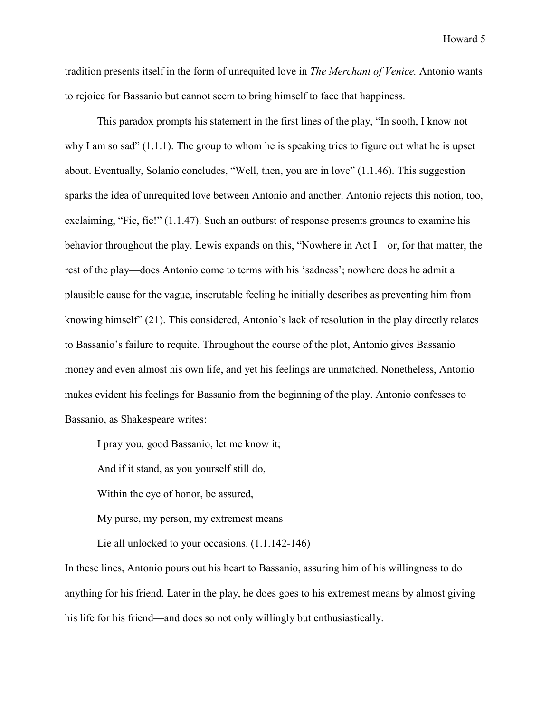tradition presents itself in the form of unrequited love in *The Merchant of Venice.* Antonio wants to rejoice for Bassanio but cannot seem to bring himself to face that happiness.

This paradox prompts his statement in the first lines of the play, "In sooth, I know not why I am so sad" (1.1.1). The group to whom he is speaking tries to figure out what he is upset about. Eventually, Solanio concludes, "Well, then, you are in love" (1.1.46). This suggestion sparks the idea of unrequited love between Antonio and another. Antonio rejects this notion, too, exclaiming, "Fie, fie!" (1.1.47). Such an outburst of response presents grounds to examine his behavior throughout the play. Lewis expands on this, "Nowhere in Act I—or, for that matter, the rest of the play—does Antonio come to terms with his 'sadness'; nowhere does he admit a plausible cause for the vague, inscrutable feeling he initially describes as preventing him from knowing himself" (21). This considered, Antonio's lack of resolution in the play directly relates to Bassanio's failure to requite. Throughout the course of the plot, Antonio gives Bassanio money and even almost his own life, and yet his feelings are unmatched. Nonetheless, Antonio makes evident his feelings for Bassanio from the beginning of the play. Antonio confesses to Bassanio, as Shakespeare writes:

I pray you, good Bassanio, let me know it;

And if it stand, as you yourself still do,

Within the eye of honor, be assured,

My purse, my person, my extremest means

Lie all unlocked to your occasions. (1.1.142-146)

In these lines, Antonio pours out his heart to Bassanio, assuring him of his willingness to do anything for his friend. Later in the play, he does goes to his extremest means by almost giving his life for his friend—and does so not only willingly but enthusiastically.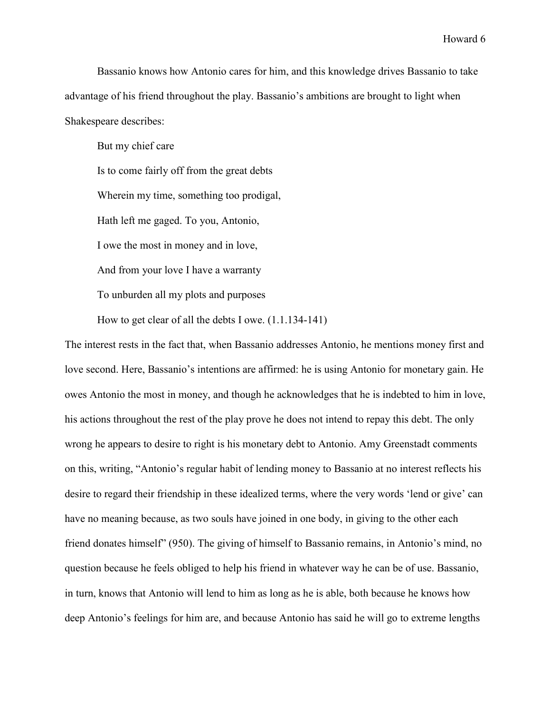Bassanio knows how Antonio cares for him, and this knowledge drives Bassanio to take advantage of his friend throughout the play. Bassanio's ambitions are brought to light when Shakespeare describes:

But my chief care

Is to come fairly off from the great debts Wherein my time, something too prodigal, Hath left me gaged. To you, Antonio, I owe the most in money and in love, And from your love I have a warranty To unburden all my plots and purposes

How to get clear of all the debts I owe. (1.1.134-141)

The interest rests in the fact that, when Bassanio addresses Antonio, he mentions money first and love second. Here, Bassanio's intentions are affirmed: he is using Antonio for monetary gain. He owes Antonio the most in money, and though he acknowledges that he is indebted to him in love, his actions throughout the rest of the play prove he does not intend to repay this debt. The only wrong he appears to desire to right is his monetary debt to Antonio. Amy Greenstadt comments on this, writing, "Antonio's regular habit of lending money to Bassanio at no interest reflects his desire to regard their friendship in these idealized terms, where the very words 'lend or give' can have no meaning because, as two souls have joined in one body, in giving to the other each friend donates himself" (950). The giving of himself to Bassanio remains, in Antonio's mind, no question because he feels obliged to help his friend in whatever way he can be of use. Bassanio, in turn, knows that Antonio will lend to him as long as he is able, both because he knows how deep Antonio's feelings for him are, and because Antonio has said he will go to extreme lengths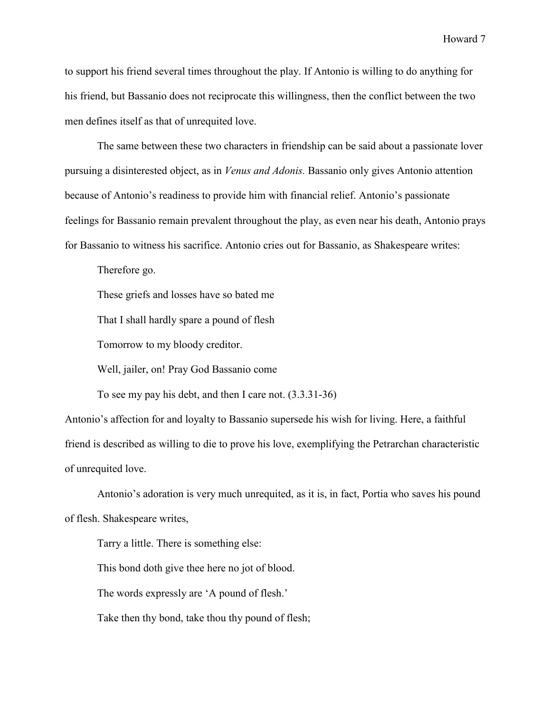to support his friend several times throughout the play. If Antonio is willing to do anything for his friend, but Bassanio does not reciprocate this willingness, then the conflict between the two men defines itself as that of unrequited love.

The same between these two characters in friendship can be said about a passionate lover pursuing a disinterested object, as in *Venus and Adonis.* Bassanio only gives Antonio attention because of Antonio's readiness to provide him with financial relief. Antonio's passionate feelings for Bassanio remain prevalent throughout the play, as even near his death, Antonio prays for Bassanio to witness his sacrifice. Antonio cries out for Bassanio, as Shakespeare writes:

Therefore go.

These griefs and losses have so bated me

That I shall hardly spare a pound of flesh

Tomorrow to my bloody creditor.

Well, jailer, on! Pray God Bassanio come

To see my pay his debt, and then I care not. (3.3.31-36)

Antonio's affection for and loyalty to Bassanio supersede his wish for living. Here, a faithful friend is described as willing to die to prove his love, exemplifying the Petrarchan characteristic of unrequited love.

Antonio's adoration is very much unrequited, as it is, in fact, Portia who saves his pound of flesh. Shakespeare writes,

Tarry a little. There is something else:

This bond doth give thee here no jot of blood.

The words expressly are 'A pound of flesh.'

Take then thy bond, take thou thy pound of flesh;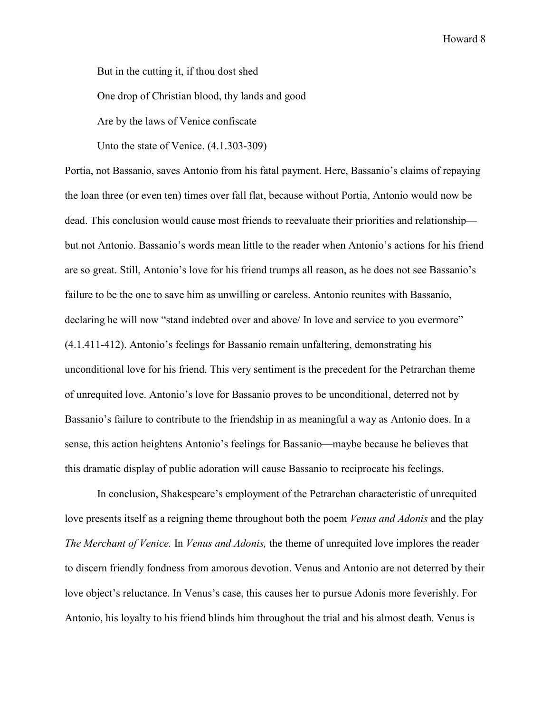But in the cutting it, if thou dost shed

One drop of Christian blood, thy lands and good

Are by the laws of Venice confiscate

Unto the state of Venice. (4.1.303-309)

Portia, not Bassanio, saves Antonio from his fatal payment. Here, Bassanio's claims of repaying the loan three (or even ten) times over fall flat, because without Portia, Antonio would now be dead. This conclusion would cause most friends to reevaluate their priorities and relationship but not Antonio. Bassanio's words mean little to the reader when Antonio's actions for his friend are so great. Still, Antonio's love for his friend trumps all reason, as he does not see Bassanio's failure to be the one to save him as unwilling or careless. Antonio reunites with Bassanio, declaring he will now "stand indebted over and above/ In love and service to you evermore" (4.1.411-412). Antonio's feelings for Bassanio remain unfaltering, demonstrating his unconditional love for his friend. This very sentiment is the precedent for the Petrarchan theme of unrequited love. Antonio's love for Bassanio proves to be unconditional, deterred not by Bassanio's failure to contribute to the friendship in as meaningful a way as Antonio does. In a sense, this action heightens Antonio's feelings for Bassanio—maybe because he believes that this dramatic display of public adoration will cause Bassanio to reciprocate his feelings.

In conclusion, Shakespeare's employment of the Petrarchan characteristic of unrequited love presents itself as a reigning theme throughout both the poem *Venus and Adonis* and the play *The Merchant of Venice.* In *Venus and Adonis,* the theme of unrequited love implores the reader to discern friendly fondness from amorous devotion. Venus and Antonio are not deterred by their love object's reluctance. In Venus's case, this causes her to pursue Adonis more feverishly. For Antonio, his loyalty to his friend blinds him throughout the trial and his almost death. Venus is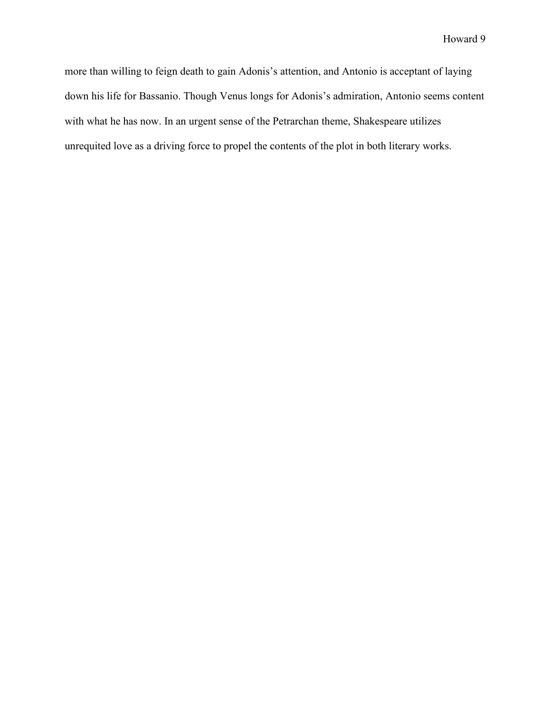more than willing to feign death to gain Adonis's attention, and Antonio is acceptant of laying down his life for Bassanio. Though Venus longs for Adonis's admiration, Antonio seems content with what he has now. In an urgent sense of the Petrarchan theme, Shakespeare utilizes unrequited love as a driving force to propel the contents of the plot in both literary works.